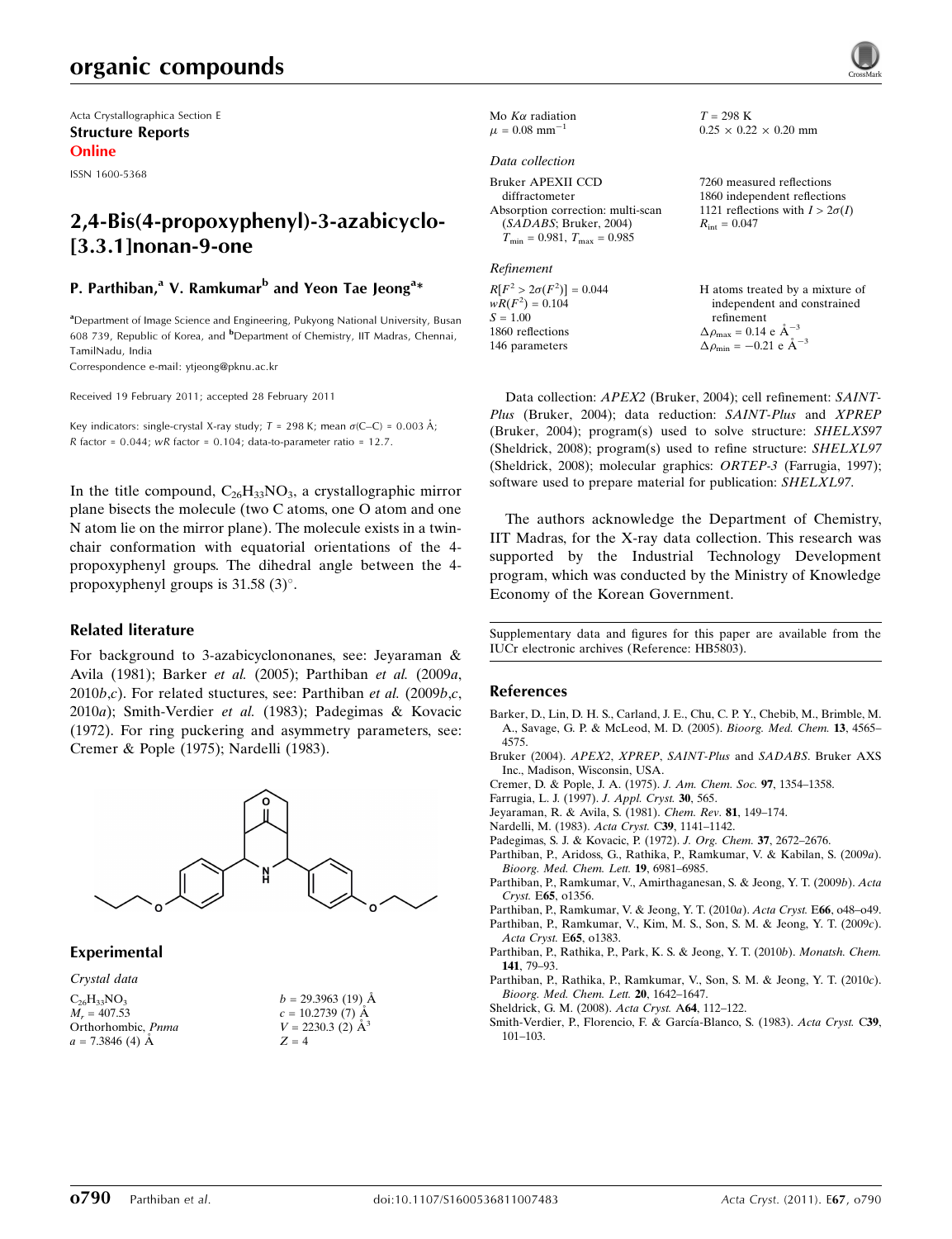# organic compounds

Acta Crystallographica Section E Structure Reports Online

ISSN 1600-5368

## 2,4-Bis(4-propoxyphenyl)-3-azabicyclo- [3.3.1]nonan-9-one

### P. Parthiban,<sup>a</sup> V. Ramkumar<sup>b</sup> and Yeon Tae Jeong<sup>a</sup>\*

<sup>a</sup>Department of Image Science and Engineering, Pukyong National University, Busan 608 739, Republic of Korea, and <sup>b</sup>Department of Chemistry, IIT Madras, Chennai, TamilNadu, India

Correspondence e-mail: [ytjeong@pknu.ac.kr](http://scripts.iucr.org/cgi-bin/cr.cgi?rm=pdfbb&cnor=hb5803&bbid=BB15)

Received 19 February 2011; accepted 28 February 2011

Key indicators: single-crystal X-ray study;  $T = 298$  K; mean  $\sigma$ (C–C) = 0.003 Å; R factor =  $0.044$ ; wR factor =  $0.104$ ; data-to-parameter ratio =  $12.7$ .

In the title compound,  $C_{26}H_{33}NO_3$ , a crystallographic mirror plane bisects the molecule (two C atoms, one O atom and one N atom lie on the mirror plane). The molecule exists in a twinchair conformation with equatorial orientations of the 4 propoxyphenyl groups. The dihedral angle between the 4 propoxyphenyl groups is  $31.58(3)^\circ$ .

#### Related literature

For background to 3-azabicyclononanes, see: Jeyaraman & Avila (1981); Barker et al. (2005); Parthiban et al. (2009a,  $2010b,c$ ). For related stuctures, see: Parthiban et al. (2009b,c, 2010a); Smith-Verdier et al. (1983); Padegimas & Kovacic (1972). For ring puckering and asymmetry parameters, see: Cremer & Pople (1975); Nardelli (1983).



#### Experimental

Crystal data

 $C_{26}H_{33}NO_3$  $M<sub>r</sub> = 407.53$ Orthorhombic, Pnma  $a = 7.3846$  (4) Å



|  | Mo $K\alpha$ radiation        |  |
|--|-------------------------------|--|
|  | $\mu = 0.08$ mm <sup>-1</sup> |  |

#### Data collection

Bruker APEXII CCD diffractometer Absorption correction: multi-scan (SADABS; Bruker, 2004)  $T_{\min} = 0.981, T_{\max} = 0.985$ 

Refinement

 $R[F^2 > 2\sigma(F^2)] = 0.044$ <br>  $wR(F^2) = 0.104$  $S = 1.00$ 1860 reflections 146 parameters

 $T = 298$  K  $0.25 \times 0.22 \times 0.20$  mm

7260 measured reflections 1860 independent reflections 1121 reflections with  $I > 2\sigma(I)$  $R_{\rm int} = 0.047$ 

H atoms treated by a mixture of independent and constrained refinement  $\Delta \rho_{\text{max}} = 0.14 \text{ e } \text{\AA}_{\text{s}}^{-3}$  $\Delta \rho_{\text{min}} = -0.21$  e  $\AA^{-3}$ 

Data collection: APEX2 (Bruker, 2004); cell refinement: SAINT-Plus (Bruker, 2004); data reduction: SAINT-Plus and XPREP (Bruker, 2004); program(s) used to solve structure: SHELXS97 (Sheldrick, 2008); program(s) used to refine structure: SHELXL97 (Sheldrick, 2008); molecular graphics: ORTEP-3 (Farrugia, 1997); software used to prepare material for publication: SHELXL97.

The authors acknowledge the Department of Chemistry, IIT Madras, for the X-ray data collection. This research was supported by the Industrial Technology Development program, which was conducted by the Ministry of Knowledge Economy of the Korean Government.

Supplementary data and figures for this paper are available from the IUCr electronic archives (Reference: HB5803).

#### References

- [Barker, D., Lin, D. H. S., Carland, J. E., Chu, C. P. Y., Chebib, M., Brimble, M.](http://scripts.iucr.org/cgi-bin/cr.cgi?rm=pdfbb&cnor=hb5803&bbid=BB1) [A., Savage, G. P. & McLeod, M. D. \(2005\).](http://scripts.iucr.org/cgi-bin/cr.cgi?rm=pdfbb&cnor=hb5803&bbid=BB1) Bioorg. Med. Chem. 13, 4565– [4575.](http://scripts.iucr.org/cgi-bin/cr.cgi?rm=pdfbb&cnor=hb5803&bbid=BB1)
- [Bruker \(2004\).](http://scripts.iucr.org/cgi-bin/cr.cgi?rm=pdfbb&cnor=hb5803&bbid=BB2) APEX2, XPREP, SAINT-Plus and SADABS. Bruker AXS [Inc., Madison, Wisconsin, USA.](http://scripts.iucr.org/cgi-bin/cr.cgi?rm=pdfbb&cnor=hb5803&bbid=BB2)
- [Cremer, D. & Pople, J. A. \(1975\).](http://scripts.iucr.org/cgi-bin/cr.cgi?rm=pdfbb&cnor=hb5803&bbid=BB3) J. Am. Chem. Soc. 97, 1354–1358.
- [Farrugia, L. J. \(1997\).](http://scripts.iucr.org/cgi-bin/cr.cgi?rm=pdfbb&cnor=hb5803&bbid=BB4) J. Appl. Cryst. 30, 565.
- [Jeyaraman, R. & Avila, S. \(1981\).](http://scripts.iucr.org/cgi-bin/cr.cgi?rm=pdfbb&cnor=hb5803&bbid=BB5) Chem. Rev. 81, 149–174.
- [Nardelli, M. \(1983\).](http://scripts.iucr.org/cgi-bin/cr.cgi?rm=pdfbb&cnor=hb5803&bbid=BB6) Acta Cryst. C39, 1141–1142.
- [Padegimas, S. J. & Kovacic, P. \(1972\).](http://scripts.iucr.org/cgi-bin/cr.cgi?rm=pdfbb&cnor=hb5803&bbid=BB7) J. Org. Chem. 37, 2672–2676.
- [Parthiban, P., Aridoss, G., Rathika, P., Ramkumar, V. & Kabilan, S. \(2009](http://scripts.iucr.org/cgi-bin/cr.cgi?rm=pdfbb&cnor=hb5803&bbid=BB8)a). [Bioorg. Med. Chem. Lett.](http://scripts.iucr.org/cgi-bin/cr.cgi?rm=pdfbb&cnor=hb5803&bbid=BB8) 19, 6981–6985.
- [Parthiban, P., Ramkumar, V., Amirthaganesan, S. & Jeong, Y. T. \(2009](http://scripts.iucr.org/cgi-bin/cr.cgi?rm=pdfbb&cnor=hb5803&bbid=BB9)b). Acta Cryst. E65[, o1356.](http://scripts.iucr.org/cgi-bin/cr.cgi?rm=pdfbb&cnor=hb5803&bbid=BB9)
- [Parthiban, P., Ramkumar, V. & Jeong, Y. T. \(2010](http://scripts.iucr.org/cgi-bin/cr.cgi?rm=pdfbb&cnor=hb5803&bbid=BB10)a). Acta Cryst. E66, o48–o49. [Parthiban, P., Ramkumar, V., Kim, M. S., Son, S. M. & Jeong, Y. T. \(2009](http://scripts.iucr.org/cgi-bin/cr.cgi?rm=pdfbb&cnor=hb5803&bbid=BB11)c). [Acta Cryst.](http://scripts.iucr.org/cgi-bin/cr.cgi?rm=pdfbb&cnor=hb5803&bbid=BB11) E65, o1383.
- [Parthiban, P., Rathika, P., Park, K. S. & Jeong, Y. T. \(2010](http://scripts.iucr.org/cgi-bin/cr.cgi?rm=pdfbb&cnor=hb5803&bbid=BB12)b). Monatsh. Chem. 141[, 79–93.](http://scripts.iucr.org/cgi-bin/cr.cgi?rm=pdfbb&cnor=hb5803&bbid=BB12)
- [Parthiban, P., Rathika, P., Ramkumar, V., Son, S. M. & Jeong, Y. T. \(2010](http://scripts.iucr.org/cgi-bin/cr.cgi?rm=pdfbb&cnor=hb5803&bbid=BB13)c). [Bioorg. Med. Chem. Lett.](http://scripts.iucr.org/cgi-bin/cr.cgi?rm=pdfbb&cnor=hb5803&bbid=BB13) 20, 1642–1647.
- [Sheldrick, G. M. \(2008\).](http://scripts.iucr.org/cgi-bin/cr.cgi?rm=pdfbb&cnor=hb5803&bbid=BB14) Acta Cryst. A64, 112–122.
- Smith-Verdier, P., Florencio, F. & García-Blanco, S. (1983). Acta Cryst. C39, [101–103.](http://scripts.iucr.org/cgi-bin/cr.cgi?rm=pdfbb&cnor=hb5803&bbid=BB15)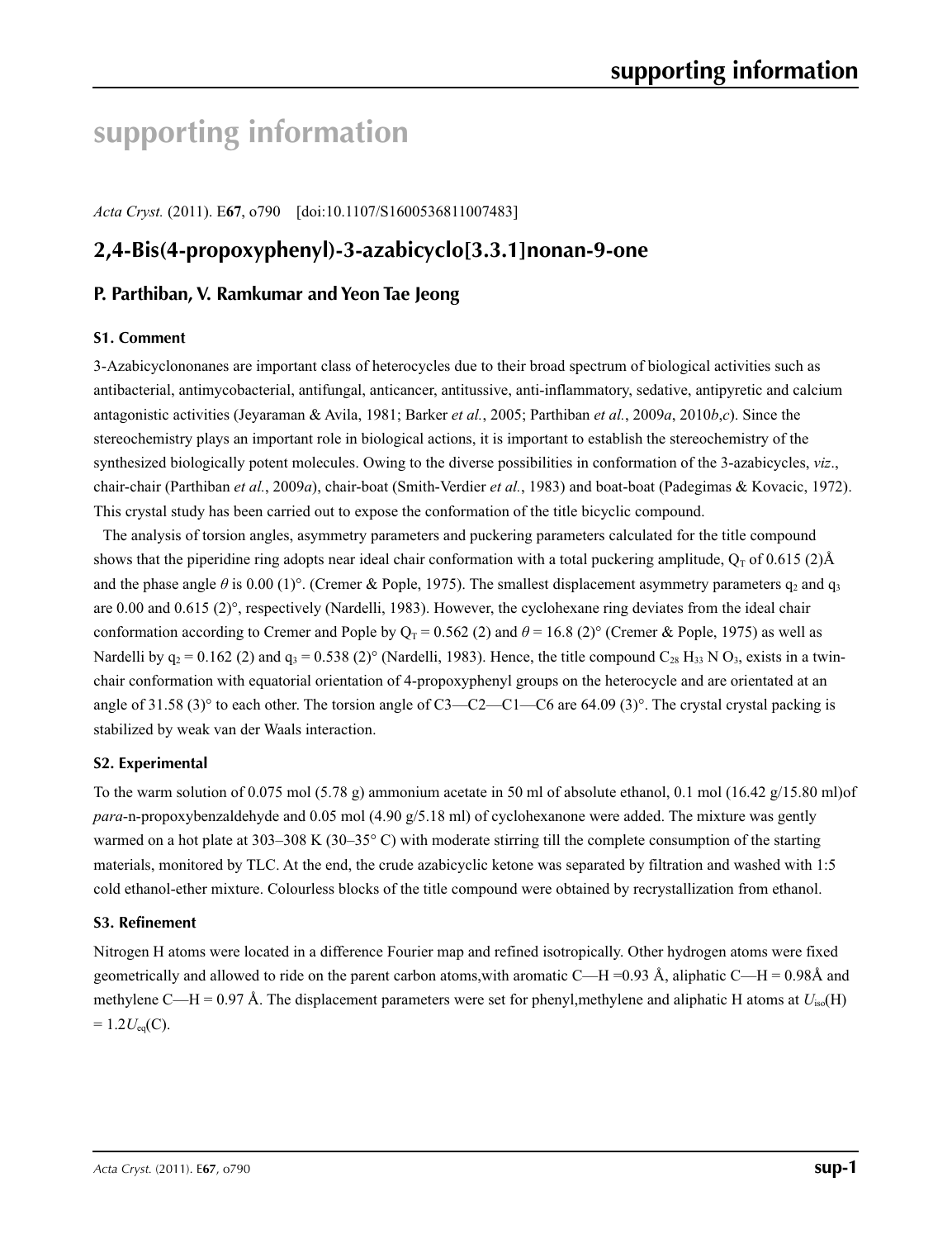# **supporting information**

*Acta Cryst.* (2011). E**67**, o790 [doi:10.1107/S1600536811007483]

# **2,4-Bis(4-propoxyphenyl)-3-azabicyclo[3.3.1]nonan-9-one**

## **P. Parthiban, V. Ramkumar and Yeon Tae Jeong**

#### **S1. Comment**

3-Azabicyclononanes are important class of heterocycles due to their broad spectrum of biological activities such as antibacterial, antimycobacterial, antifungal, anticancer, antitussive, anti-inflammatory, sedative, antipyretic and calcium antagonistic activities (Jeyaraman & Avila, 1981; Barker *et al.*, 2005; Parthiban *et al.*, 2009*a*, 2010*b*,*c*). Since the stereochemistry plays an important role in biological actions, it is important to establish the stereochemistry of the synthesized biologically potent molecules. Owing to the diverse possibilities in conformation of the 3-azabicycles, *viz*., chair-chair (Parthiban *et al.*, 2009*a*), chair-boat (Smith-Verdier *et al.*, 1983) and boat-boat (Padegimas & Kovacic, 1972). This crystal study has been carried out to expose the conformation of the title bicyclic compound.

The analysis of torsion angles, asymmetry parameters and puckering parameters calculated for the title compound shows that the piperidine ring adopts near ideal chair conformation with a total puckering amplitude,  $Q_T$  of 0.615 (2)Å and the phase angle  $\theta$  is 0.00 (1)°. (Cremer & Pople, 1975). The smallest displacement asymmetry parameters  $q_2$  and  $q_3$ are 0.00 and 0.615 (2)°, respectively (Nardelli, 1983). However, the cyclohexane ring deviates from the ideal chair conformation according to Cremer and Pople by  $Q_T = 0.562$  (2) and  $\theta = 16.8$  (2)° (Cremer & Pople, 1975) as well as Nardelli by  $q_2 = 0.162$  (2) and  $q_3 = 0.538$  (2)° (Nardelli, 1983). Hence, the title compound  $C_{28}$  H<sub>33</sub> N O<sub>3</sub>, exists in a twinchair conformation with equatorial orientation of 4-propoxyphenyl groups on the heterocycle and are orientated at an angle of 31.58 (3)° to each other. The torsion angle of C3—C2—C1—C6 are 64.09 (3)°. The crystal crystal packing is stabilized by weak van der Waals interaction.

#### **S2. Experimental**

To the warm solution of 0.075 mol (5.78 g) ammonium acetate in 50 ml of absolute ethanol, 0.1 mol (16.42 g/15.80 ml)of *para*-n-propoxybenzaldehyde and 0.05 mol (4.90 g/5.18 ml) of cyclohexanone were added. The mixture was gently warmed on a hot plate at 303–308 K (30–35°C) with moderate stirring till the complete consumption of the starting materials, monitored by TLC. At the end, the crude azabicyclic ketone was separated by filtration and washed with 1:5 cold ethanol-ether mixture. Colourless blocks of the title compound were obtained by recrystallization from ethanol.

#### **S3. Refinement**

Nitrogen H atoms were located in a difference Fourier map and refined isotropically. Other hydrogen atoms were fixed geometrically and allowed to ride on the parent carbon atoms, with aromatic C—H =0.93 Å, aliphatic C—H = 0.98Å and methylene C—H = 0.97 Å. The displacement parameters were set for phenyl,methylene and aliphatic H atoms at  $U_{\text{iso}}(H)$  $= 1.2 U_{eq}(C)$ .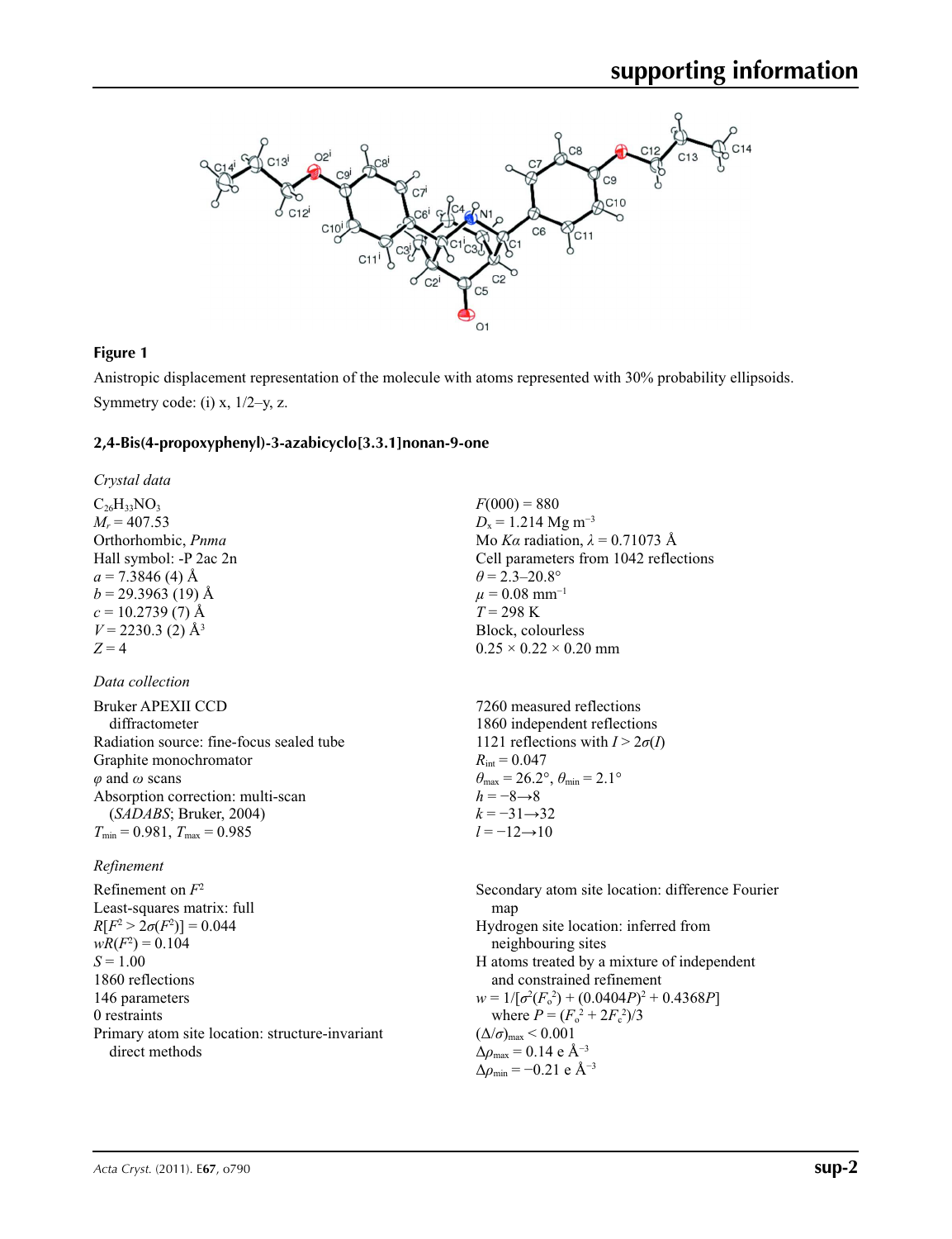

## **Figure 1**

Anistropic displacement representation of the molecule with atoms represented with 30% probability ellipsoids. Symmetry code: (i)  $x$ ,  $1/2-y$ , z.

#### **2,4-Bis(4-propoxyphenyl)-3-azabicyclo[3.3.1]nonan-9-one**

*Crystal data*

 $C_{26}H_{33}NO_3$  $M_r = 407.53$ Orthorhombic, *Pnma* Hall symbol: -P 2ac 2n  $a = 7.3846$  (4) Å  $b = 29.3963$  (19) Å  $c = 10.2739(7)$  Å  $V = 2230.3$  (2) Å<sup>3</sup>  $Z = 4$ 

### *Data collection*

| <b>Bruker APEXII CCD</b>                 | 7260 measured reflections                                               |
|------------------------------------------|-------------------------------------------------------------------------|
| diffractometer                           | 1860 independent reflections                                            |
| Radiation source: fine-focus sealed tube | 1121 reflections with $I > 2\sigma(I)$                                  |
| Graphite monochromator                   | $R_{\text{int}} = 0.047$                                                |
| $\varphi$ and $\omega$ scans             | $\theta_{\text{max}} = 26.2^{\circ}, \theta_{\text{min}} = 2.1^{\circ}$ |
| Absorption correction: multi-scan        | $h = -8 \rightarrow 8$                                                  |
| (SADABS; Bruker, 2004)                   | $k = -31 \rightarrow 32$                                                |
| $T_{\min}$ = 0.981, $T_{\max}$ = 0.985   | $l = -12 \rightarrow 10$                                                |
|                                          |                                                                         |

#### *Refinement*

Refinement on *F*<sup>2</sup> Least-squares matrix: full  $R[F^2 > 2\sigma(F^2)] = 0.044$  $wR(F^2) = 0.104$  $S = 1.00$ 1860 reflections 146 parameters 0 restraints Primary atom site location: structure-invariant direct methods

 $F(000) = 880$  $D_x = 1.214$  Mg m<sup>-3</sup> Mo *Kα* radiation,  $\lambda = 0.71073$  Å Cell parameters from 1042 reflections  $\theta$  = 2.3–20.8°  $\mu$  = 0.08 mm<sup>-1</sup> *T* = 298 K Block, colourless  $0.25 \times 0.22 \times 0.20$  mm

Secondary atom site location: difference Fourier map Hydrogen site location: inferred from neighbouring sites H atoms treated by a mixture of independent and constrained refinement  $w = 1/[\sigma^2(F_0^2) + (0.0404P)^2 + 0.4368P]$ where  $P = (F_0^2 + 2F_c^2)/3$  $(\Delta/\sigma)_{\text{max}}$  < 0.001  $\Delta\rho_{\text{max}} = 0.14$  e Å<sup>-3</sup>  $\Delta\rho_{\text{min}} = -0.21$  e Å<sup>-3</sup>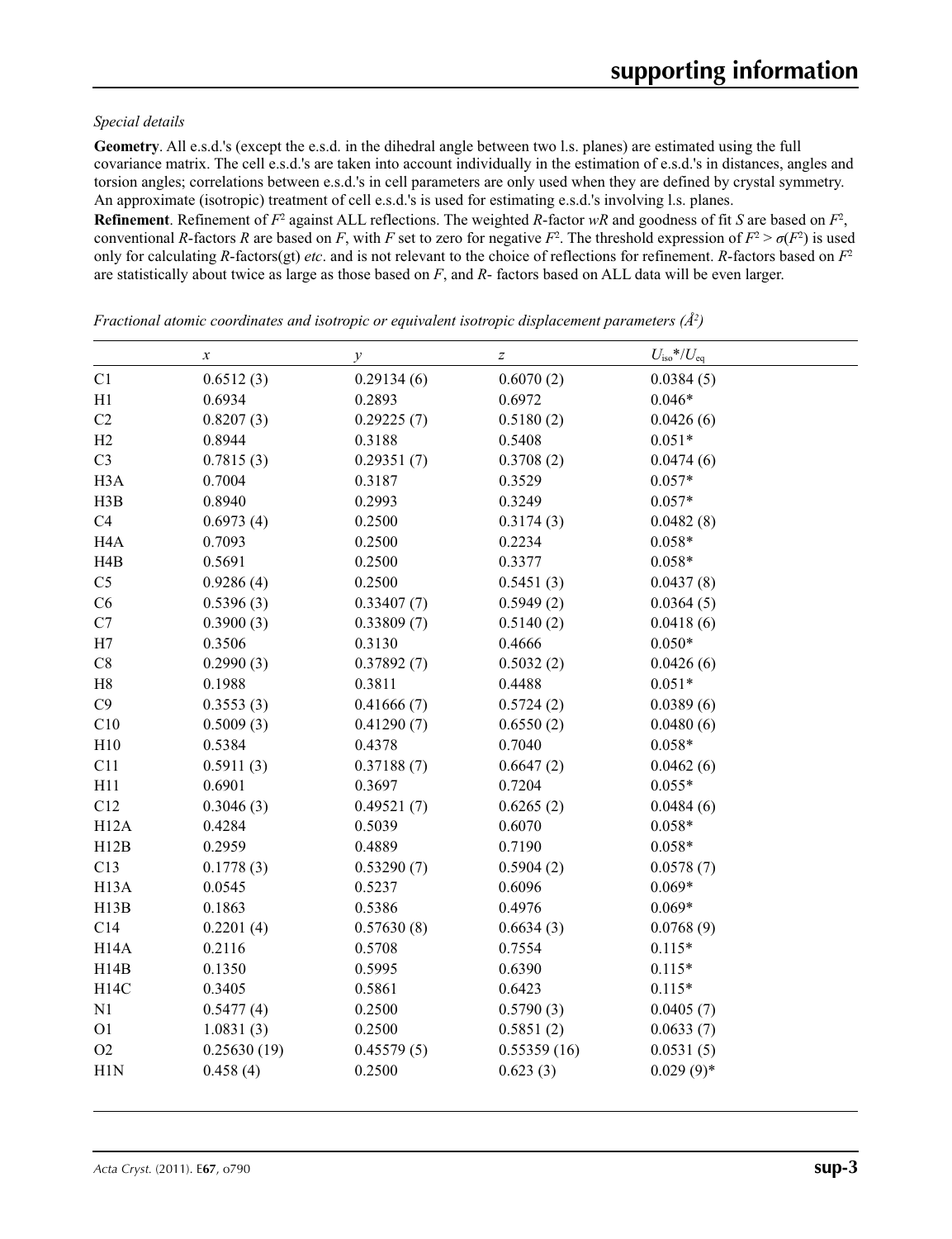#### *Special details*

**Geometry**. All e.s.d.'s (except the e.s.d. in the dihedral angle between two l.s. planes) are estimated using the full covariance matrix. The cell e.s.d.'s are taken into account individually in the estimation of e.s.d.'s in distances, angles and torsion angles; correlations between e.s.d.'s in cell parameters are only used when they are defined by crystal symmetry. An approximate (isotropic) treatment of cell e.s.d.'s is used for estimating e.s.d.'s involving l.s. planes.

**Refinement**. Refinement of  $F^2$  against ALL reflections. The weighted R-factor wR and goodness of fit *S* are based on  $F^2$ , conventional *R*-factors *R* are based on *F*, with *F* set to zero for negative  $F^2$ . The threshold expression of  $F^2 > \sigma(F^2)$  is used only for calculating *R*-factors(gt) *etc*. and is not relevant to the choice of reflections for refinement. *R*-factors based on *F*<sup>2</sup> are statistically about twice as large as those based on *F*, and *R*- factors based on ALL data will be even larger.

*x*  $\qquad \qquad y$   $\qquad \qquad z$   $U_{\text{iso}}*/U_{\text{eq}}$ C1  $0.6512(3)$   $0.29134(6)$   $0.6070(2)$   $0.0384(5)$ H1 0.6934 0.2893 0.6972 0.046\* C2  $0.8207(3)$   $0.29225(7)$   $0.5180(2)$   $0.0426(6)$ H2 0.8944 0.3188 0.5408 0.051\* C3  $0.7815(3)$   $0.29351(7)$   $0.3708(2)$   $0.0474(6)$ H3A 0.7004 0.3187 0.3529 0.057\* H3B 0.8940 0.2993 0.3249 0.057\* C4 0.6973 (4) 0.2500 0.3174 (3) 0.0482 (8) H4A 0.7093 0.2500 0.2234 0.058\* H4B 0.5691 0.2500 0.3377 0.058\* C5 0.9286 (4) 0.2500 0.5451 (3) 0.0437 (8) C6 0.5396 (3) 0.33407 (7) 0.5949 (2) 0.0364 (5) C7 0.3900 (3) 0.33809 (7) 0.5140 (2) 0.0418 (6) H7 0.3506 0.3130 0.4666 0.050\* C8 0.2990 (3) 0.37892 (7) 0.5032 (2) 0.0426 (6) H8 0.1988 0.3811 0.4488 0.051\* C9 0.3553 (3) 0.41666 (7) 0.5724 (2) 0.0389 (6) C10 0.5009 (3) 0.41290 (7) 0.6550 (2) 0.0480 (6) H10 0.5384 0.4378 0.7040 0.058\* C11 0.5911 (3) 0.37188 (7) 0.6647 (2) 0.0462 (6) H11 0.6901 0.3697 0.7204 0.055\* C12 0.3046 (3) 0.49521 (7) 0.6265 (2) 0.0484 (6) H12A 0.4284 0.5039 0.6070 0.058\* H12B 0.2959 0.4889 0.7190 0.058\* C13 0.1778 (3) 0.53290 (7) 0.5904 (2) 0.0578 (7) H13A 0.0545 0.5237 0.6096 0.069\* H13B 0.1863 0.5386 0.4976 0.069\* C14 0.2201 (4) 0.57630 (8) 0.6634 (3) 0.0768 (9) H14A 0.2116 0.5708 0.7554 0.115\* H14B 0.1350 0.5995 0.6390 0.115\* H14C 0.3405 0.5861 0.6423 0.115\* N1 0.5477 (4) 0.2500 0.5790 (3) 0.0405 (7) O1 1.0831 (3) 0.2500 0.5851 (2) 0.0633 (7) O2 0.25630 (19) 0.45579 (5) 0.55359 (16) 0.0531 (5) H1N  $0.458$  (4)  $0.2500$   $0.623$  (3)  $0.029$  (9)\*

*Fractional atomic coordinates and isotropic or equivalent isotropic displacement parameters (Å2 )*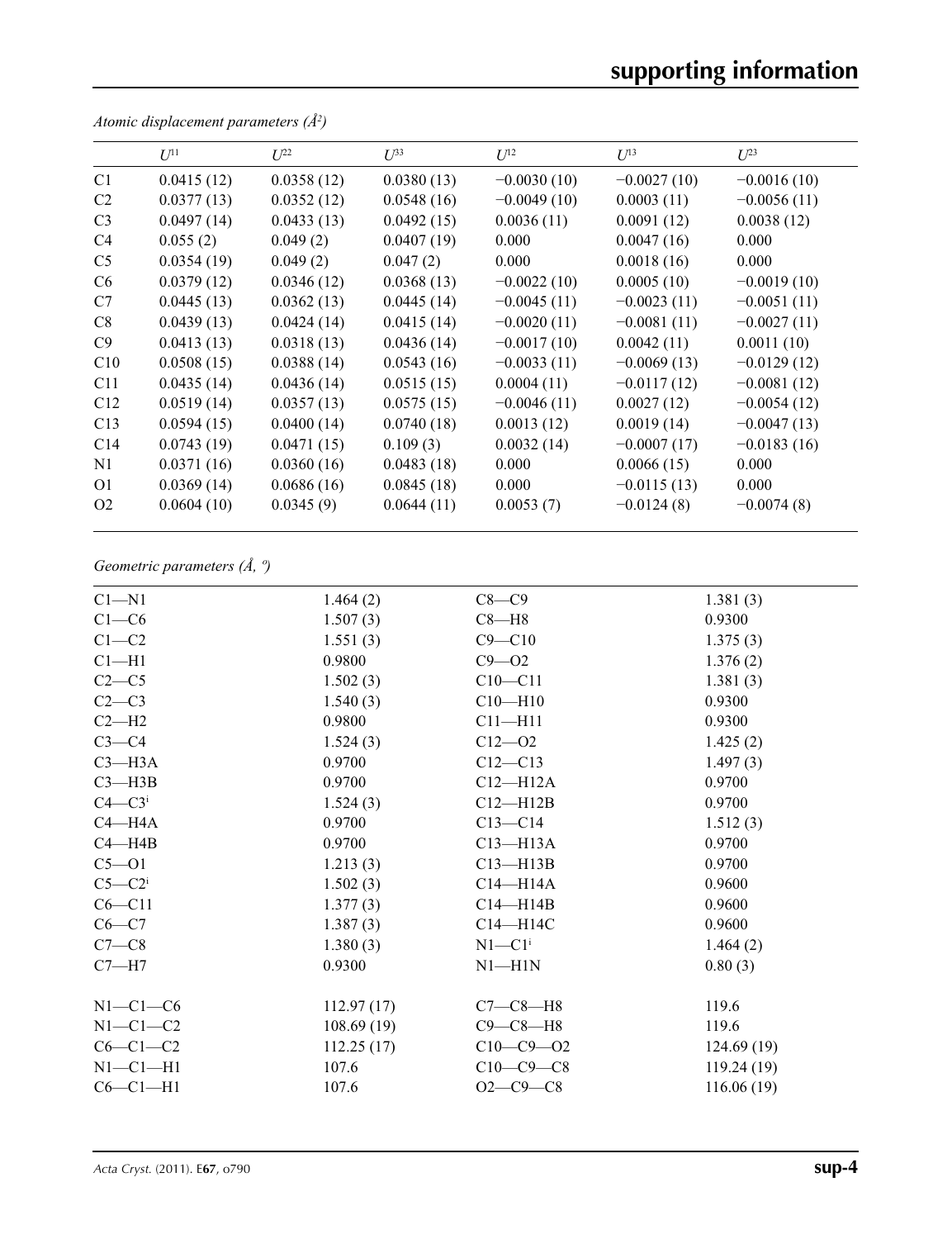|                 | $U^{11}$   | $L^{22}$   | $I^{\beta 3}$ | $U^{12}$      | $U^{13}$      | $L^{23}$      |
|-----------------|------------|------------|---------------|---------------|---------------|---------------|
| C <sub>1</sub>  | 0.0415(12) | 0.0358(12) | 0.0380(13)    | $-0.0030(10)$ | $-0.0027(10)$ | $-0.0016(10)$ |
| C <sub>2</sub>  | 0.0377(13) | 0.0352(12) | 0.0548(16)    | $-0.0049(10)$ | 0.0003(11)    | $-0.0056(11)$ |
| C <sub>3</sub>  | 0.0497(14) | 0.0433(13) | 0.0492(15)    | 0.0036(11)    | 0.0091(12)    | 0.0038(12)    |
| C <sub>4</sub>  | 0.055(2)   | 0.049(2)   | 0.0407(19)    | 0.000         | 0.0047(16)    | 0.000         |
| C <sub>5</sub>  | 0.0354(19) | 0.049(2)   | 0.047(2)      | 0.000         | 0.0018(16)    | 0.000         |
| C <sub>6</sub>  | 0.0379(12) | 0.0346(12) | 0.0368(13)    | $-0.0022(10)$ | 0.0005(10)    | $-0.0019(10)$ |
| C7              | 0.0445(13) | 0.0362(13) | 0.0445(14)    | $-0.0045(11)$ | $-0.0023(11)$ | $-0.0051(11)$ |
| C8              | 0.0439(13) | 0.0424(14) | 0.0415(14)    | $-0.0020(11)$ | $-0.0081(11)$ | $-0.0027(11)$ |
| C9              | 0.0413(13) | 0.0318(13) | 0.0436(14)    | $-0.0017(10)$ | 0.0042(11)    | 0.0011(10)    |
| C10             | 0.0508(15) | 0.0388(14) | 0.0543(16)    | $-0.0033(11)$ | $-0.0069(13)$ | $-0.0129(12)$ |
| C11             | 0.0435(14) | 0.0436(14) | 0.0515(15)    | 0.0004(11)    | $-0.0117(12)$ | $-0.0081(12)$ |
| C12             | 0.0519(14) | 0.0357(13) | 0.0575(15)    | $-0.0046(11)$ | 0.0027(12)    | $-0.0054(12)$ |
| C13             | 0.0594(15) | 0.0400(14) | 0.0740(18)    | 0.0013(12)    | 0.0019(14)    | $-0.0047(13)$ |
| C <sub>14</sub> | 0.0743(19) | 0.0471(15) | 0.109(3)      | 0.0032(14)    | $-0.0007(17)$ | $-0.0183(16)$ |
| N <sub>1</sub>  | 0.0371(16) | 0.0360(16) | 0.0483(18)    | 0.000         | 0.0066(15)    | 0.000         |
| O <sub>1</sub>  | 0.0369(14) | 0.0686(16) | 0.0845(18)    | 0.000         | $-0.0115(13)$ | 0.000         |
| O <sub>2</sub>  | 0.0604(10) | 0.0345(9)  | 0.0644(11)    | 0.0053(7)     | $-0.0124(8)$  | $-0.0074(8)$  |

*Atomic displacement parameters (Å2 )*

## *Geometric parameters (Å, º)*

| $Cl - N1$              | 1.464(2)   | $C8 - C9$              | 1.381(3)   |
|------------------------|------------|------------------------|------------|
| $C1 - C6$              | 1.507(3)   | $C8 - H8$              | 0.9300     |
| $C1 - C2$              | 1.551(3)   | $C9 - C10$             | 1.375(3)   |
| $Cl-H1$                | 0.9800     | $C9 - O2$              | 1.376(2)   |
| $C2-C5$                | 1.502(3)   | $C10 - C11$            | 1.381(3)   |
| $C2-C3$                | 1.540(3)   | $C10 - H10$            | 0.9300     |
| $C2-H2$                | 0.9800     | $C11 - H11$            | 0.9300     |
| $C3-C4$                | 1.524(3)   | $C12 - 02$             | 1.425(2)   |
| $C3 - H3A$             | 0.9700     | $C12 - C13$            | 1.497(3)   |
| $C3$ —H $3B$           | 0.9700     | $C12 - H12A$           | 0.9700     |
| $C4 - C3$ <sup>i</sup> | 1.524(3)   | $C12 - H12B$           | 0.9700     |
| $C4 - H4A$             | 0.9700     | $C13 - C14$            | 1.512(3)   |
| $C4 - H4B$             | 0.9700     | $C13 - H13A$           | 0.9700     |
| $C5 - 01$              | 1.213(3)   | $C13 - H13B$           | 0.9700     |
| $C5-C2i$               | 1.502(3)   | $C14 - H14A$           | 0.9600     |
| $C6 - C11$             | 1.377(3)   | $C14 - H14B$           | 0.9600     |
| $C6 - C7$              | 1.387(3)   | C14-H14C               | 0.9600     |
| $C7-C8$                | 1.380(3)   | $N1 - C1$ <sup>i</sup> | 1.464(2)   |
| $C7 - H7$              | 0.9300     | $N1 - H1N$             | 0.80(3)    |
| $N1-C1-C6$             | 112.97(17) | $C7-C8-H8$             | 119.6      |
| $N1-C1-C2$             | 108.69(19) | $C9 - C8 - H8$         | 119.6      |
| $C6-C1-C2$             | 112.25(17) | $C10-C9 - 02$          | 124.69(19) |
| $N1-C1-H1$             | 107.6      | $C10-C9-C8$            | 119.24(19) |
| $C6-C1-H1$             | 107.6      | $O2 - C9 - C8$         | 116.06(19) |
|                        |            |                        |            |